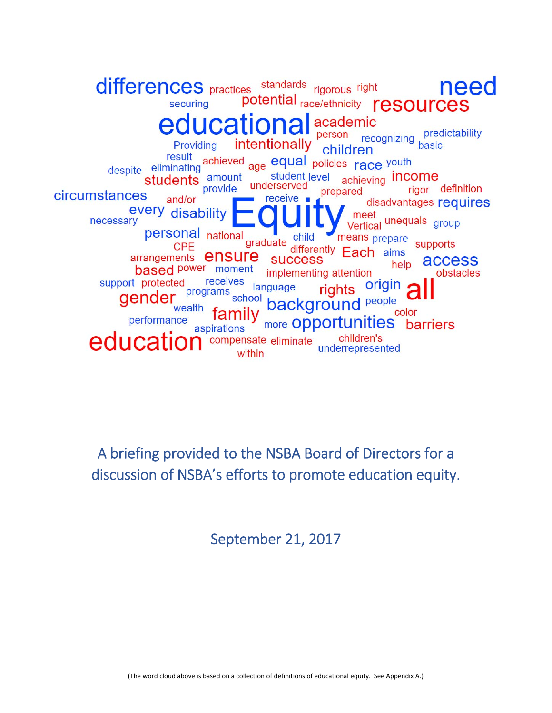differences practices standards rigorous right need potential race/ethnicity resources securing education academic predictability<br>basic person recognizing intentionally Providing children result achieved age equal policies race youth student level achieving **income** students amount underserved rigor definition provide prepared circumstances receive and/or disadvantages requires every disability meet meet<br>Vertical unequals group necessary personal national means prepare child graduate supports CPE differently Each aims arrangements **ensure SUCCESS** access help **based** power moment implementing attention obstacles receives support protected origin language rights programs school gender background people wealth color more Opportunities barriers performance aspirations children's educat compensate eliminate underrepresented within

A briefing provided to the NSBA Board of Directors for a discussion of NSBA's efforts to promote education equity.

September 21, 2017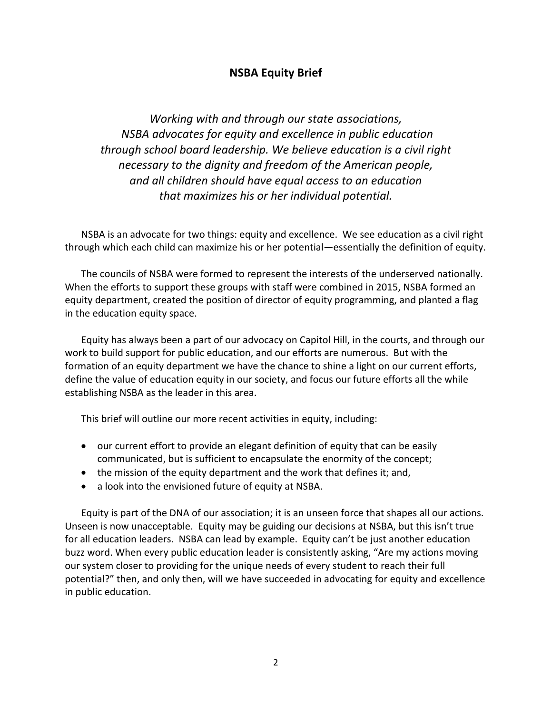# **NSBA Equity Brief**

*Working with and through our state associations, NSBA advocates for equity and excellence in public education through school board leadership. We believe education is a civil right necessary to the dignity and freedom of the American people, and all children should have equal access to an education that maximizes his or her individual potential.* 

NSBA is an advocate for two things: equity and excellence. We see education as a civil right through which each child can maximize his or her potential—essentially the definition of equity.

The councils of NSBA were formed to represent the interests of the underserved nationally. When the efforts to support these groups with staff were combined in 2015, NSBA formed an equity department, created the position of director of equity programming, and planted a flag in the education equity space.

Equity has always been a part of our advocacy on Capitol Hill, in the courts, and through our work to build support for public education, and our efforts are numerous. But with the formation of an equity department we have the chance to shine a light on our current efforts, define the value of education equity in our society, and focus our future efforts all the while establishing NSBA as the leader in this area.

This brief will outline our more recent activities in equity, including:

- our current effort to provide an elegant definition of equity that can be easily communicated, but is sufficient to encapsulate the enormity of the concept;
- the mission of the equity department and the work that defines it; and,
- a look into the envisioned future of equity at NSBA.

Equity is part of the DNA of our association; it is an unseen force that shapes all our actions. Unseen is now unacceptable. Equity may be guiding our decisions at NSBA, but this isn't true for all education leaders. NSBA can lead by example. Equity can't be just another education buzz word. When every public education leader is consistently asking, "Are my actions moving our system closer to providing for the unique needs of every student to reach their full potential?" then, and only then, will we have succeeded in advocating for equity and excellence in public education.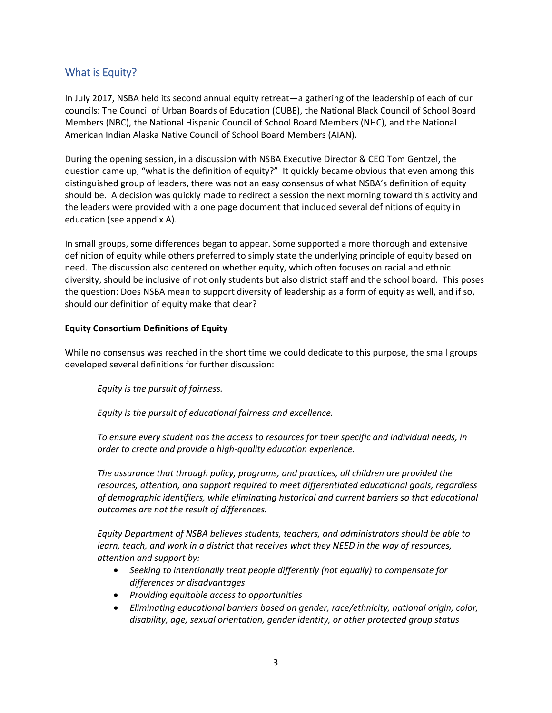# What is Equity?

In July 2017, NSBA held its second annual equity retreat—a gathering of the leadership of each of our councils: The Council of Urban Boards of Education (CUBE), the National Black Council of School Board Members (NBC), the National Hispanic Council of School Board Members (NHC), and the National American Indian Alaska Native Council of School Board Members (AIAN).

During the opening session, in a discussion with NSBA Executive Director & CEO Tom Gentzel, the question came up, "what is the definition of equity?" It quickly became obvious that even among this distinguished group of leaders, there was not an easy consensus of what NSBA's definition of equity should be. A decision was quickly made to redirect a session the next morning toward this activity and the leaders were provided with a one page document that included several definitions of equity in education (see appendix A).

In small groups, some differences began to appear. Some supported a more thorough and extensive definition of equity while others preferred to simply state the underlying principle of equity based on need. The discussion also centered on whether equity, which often focuses on racial and ethnic diversity, should be inclusive of not only students but also district staff and the school board. This poses the question: Does NSBA mean to support diversity of leadership as a form of equity as well, and if so, should our definition of equity make that clear?

### **Equity Consortium Definitions of Equity**

While no consensus was reached in the short time we could dedicate to this purpose, the small groups developed several definitions for further discussion:

*Equity is the pursuit of fairness.* 

*Equity is the pursuit of educational fairness and excellence.* 

*To ensure every student has the access to resources for their specific and individual needs, in order to create and provide a high‐quality education experience.* 

*The assurance that through policy, programs, and practices, all children are provided the resources, attention, and support required to meet differentiated educational goals, regardless of demographic identifiers, while eliminating historical and current barriers so that educational outcomes are not the result of differences.* 

*Equity Department of NSBA believes students, teachers, and administrators should be able to learn, teach, and work in a district that receives what they NEED in the way of resources, attention and support by:* 

- *Seeking to intentionally treat people differently (not equally) to compensate for differences or disadvantages*
- *Providing equitable access to opportunities*
- *Eliminating educational barriers based on gender, race/ethnicity, national origin, color, disability, age, sexual orientation, gender identity, or other protected group status*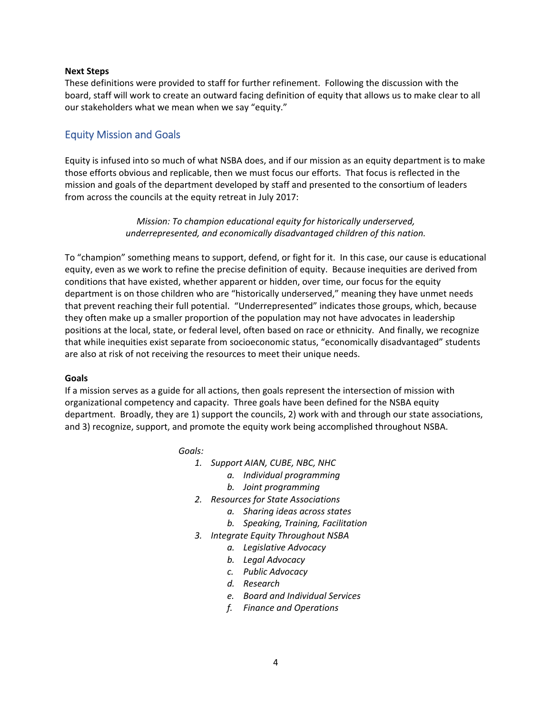#### **Next Steps**

These definitions were provided to staff for further refinement. Following the discussion with the board, staff will work to create an outward facing definition of equity that allows us to make clear to all our stakeholders what we mean when we say "equity."

# Equity Mission and Goals

Equity is infused into so much of what NSBA does, and if our mission as an equity department is to make those efforts obvious and replicable, then we must focus our efforts. That focus is reflected in the mission and goals of the department developed by staff and presented to the consortium of leaders from across the councils at the equity retreat in July 2017:

> *Mission: To champion educational equity for historically underserved, underrepresented, and economically disadvantaged children of this nation.*

To "champion" something means to support, defend, or fight for it. In this case, our cause is educational equity, even as we work to refine the precise definition of equity. Because inequities are derived from conditions that have existed, whether apparent or hidden, over time, our focus for the equity department is on those children who are "historically underserved," meaning they have unmet needs that prevent reaching their full potential. "Underrepresented" indicates those groups, which, because they often make up a smaller proportion of the population may not have advocates in leadership positions at the local, state, or federal level, often based on race or ethnicity. And finally, we recognize that while inequities exist separate from socioeconomic status, "economically disadvantaged" students are also at risk of not receiving the resources to meet their unique needs.

#### **Goals**

If a mission serves as a guide for all actions, then goals represent the intersection of mission with organizational competency and capacity. Three goals have been defined for the NSBA equity department. Broadly, they are 1) support the councils, 2) work with and through our state associations, and 3) recognize, support, and promote the equity work being accomplished throughout NSBA.

*Goals:* 

- *1. Support AIAN, CUBE, NBC, NHC* 
	- *a. Individual programming*
	- *b. Joint programming*
- *2. Resources for State Associations* 
	- *a. Sharing ideas across states*
	- *b. Speaking, Training, Facilitation*
- *3. Integrate Equity Throughout NSBA* 
	- *a. Legislative Advocacy*
	- *b. Legal Advocacy*
	- *c. Public Advocacy*
	- *d. Research*
	- *e. Board and Individual Services*
	- *f. Finance and Operations*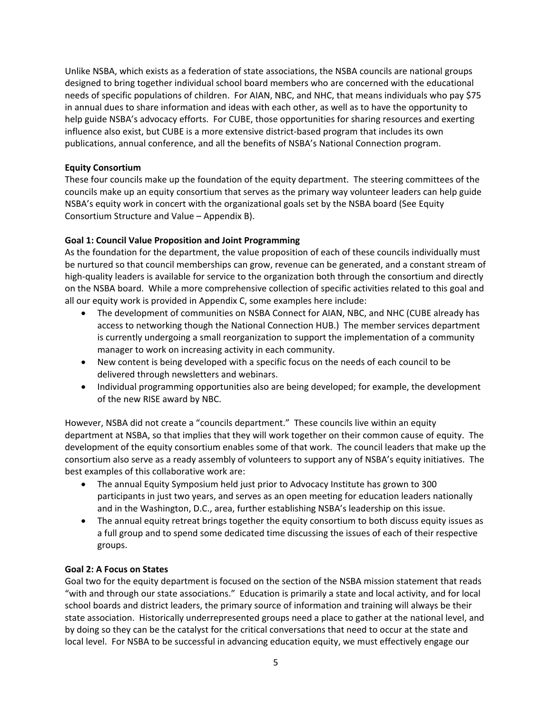Unlike NSBA, which exists as a federation of state associations, the NSBA councils are national groups designed to bring together individual school board members who are concerned with the educational needs of specific populations of children. For AIAN, NBC, and NHC, that means individuals who pay \$75 in annual dues to share information and ideas with each other, as well as to have the opportunity to help guide NSBA's advocacy efforts. For CUBE, those opportunities for sharing resources and exerting influence also exist, but CUBE is a more extensive district-based program that includes its own publications, annual conference, and all the benefits of NSBA's National Connection program.

### **Equity Consortium**

These four councils make up the foundation of the equity department. The steering committees of the councils make up an equity consortium that serves as the primary way volunteer leaders can help guide NSBA's equity work in concert with the organizational goals set by the NSBA board (See Equity Consortium Structure and Value – Appendix B).

## **Goal 1: Council Value Proposition and Joint Programming**

As the foundation for the department, the value proposition of each of these councils individually must be nurtured so that council memberships can grow, revenue can be generated, and a constant stream of high-quality leaders is available for service to the organization both through the consortium and directly on the NSBA board. While a more comprehensive collection of specific activities related to this goal and all our equity work is provided in Appendix C, some examples here include:

- The development of communities on NSBA Connect for AIAN, NBC, and NHC (CUBE already has access to networking though the National Connection HUB.) The member services department is currently undergoing a small reorganization to support the implementation of a community manager to work on increasing activity in each community.
- New content is being developed with a specific focus on the needs of each council to be delivered through newsletters and webinars.
- Individual programming opportunities also are being developed; for example, the development of the new RISE award by NBC.

However, NSBA did not create a "councils department." These councils live within an equity department at NSBA, so that implies that they will work together on their common cause of equity. The development of the equity consortium enables some of that work. The council leaders that make up the consortium also serve as a ready assembly of volunteers to support any of NSBA's equity initiatives. The best examples of this collaborative work are:

- The annual Equity Symposium held just prior to Advocacy Institute has grown to 300 participants in just two years, and serves as an open meeting for education leaders nationally and in the Washington, D.C., area, further establishing NSBA's leadership on this issue.
- The annual equity retreat brings together the equity consortium to both discuss equity issues as a full group and to spend some dedicated time discussing the issues of each of their respective groups.

### **Goal 2: A Focus on States**

Goal two for the equity department is focused on the section of the NSBA mission statement that reads "with and through our state associations." Education is primarily a state and local activity, and for local school boards and district leaders, the primary source of information and training will always be their state association. Historically underrepresented groups need a place to gather at the national level, and by doing so they can be the catalyst for the critical conversations that need to occur at the state and local level. For NSBA to be successful in advancing education equity, we must effectively engage our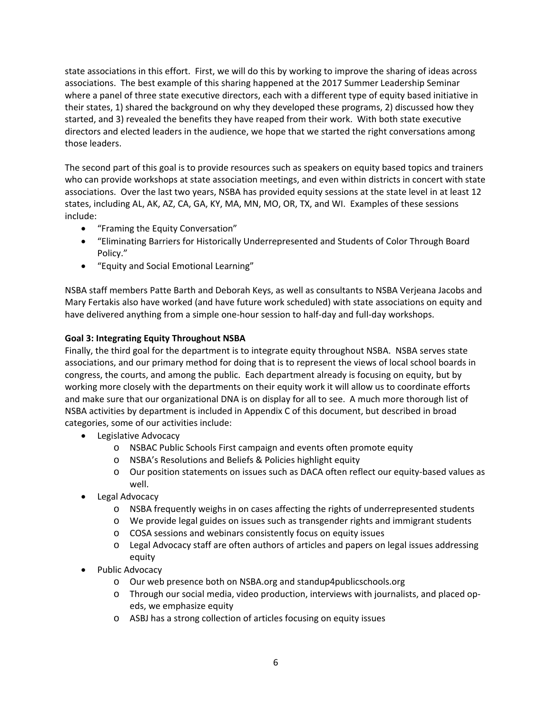state associations in this effort. First, we will do this by working to improve the sharing of ideas across associations. The best example of this sharing happened at the 2017 Summer Leadership Seminar where a panel of three state executive directors, each with a different type of equity based initiative in their states, 1) shared the background on why they developed these programs, 2) discussed how they started, and 3) revealed the benefits they have reaped from their work. With both state executive directors and elected leaders in the audience, we hope that we started the right conversations among those leaders.

The second part of this goal is to provide resources such as speakers on equity based topics and trainers who can provide workshops at state association meetings, and even within districts in concert with state associations. Over the last two years, NSBA has provided equity sessions at the state level in at least 12 states, including AL, AK, AZ, CA, GA, KY, MA, MN, MO, OR, TX, and WI. Examples of these sessions include:

- "Framing the Equity Conversation"
- "Eliminating Barriers for Historically Underrepresented and Students of Color Through Board Policy."
- "Equity and Social Emotional Learning"

NSBA staff members Patte Barth and Deborah Keys, as well as consultants to NSBA Verjeana Jacobs and Mary Fertakis also have worked (and have future work scheduled) with state associations on equity and have delivered anything from a simple one-hour session to half-day and full-day workshops.

## **Goal 3: Integrating Equity Throughout NSBA**

Finally, the third goal for the department is to integrate equity throughout NSBA. NSBA serves state associations, and our primary method for doing that is to represent the views of local school boards in congress, the courts, and among the public. Each department already is focusing on equity, but by working more closely with the departments on their equity work it will allow us to coordinate efforts and make sure that our organizational DNA is on display for all to see. A much more thorough list of NSBA activities by department is included in Appendix C of this document, but described in broad categories, some of our activities include:

- **•** Legislative Advocacy
	- o NSBAC Public Schools First campaign and events often promote equity
	- o NSBA's Resolutions and Beliefs & Policies highlight equity
	- o Our position statements on issues such as DACA often reflect our equity‐based values as well.
- Legal Advocacy
	- o NSBA frequently weighs in on cases affecting the rights of underrepresented students
	- o We provide legal guides on issues such as transgender rights and immigrant students
	- o COSA sessions and webinars consistently focus on equity issues
	- o Legal Advocacy staff are often authors of articles and papers on legal issues addressing equity
- Public Advocacy
	- o Our web presence both on NSBA.org and standup4publicschools.org
	- o Through our social media, video production, interviews with journalists, and placed op‐ eds, we emphasize equity
	- o ASBJ has a strong collection of articles focusing on equity issues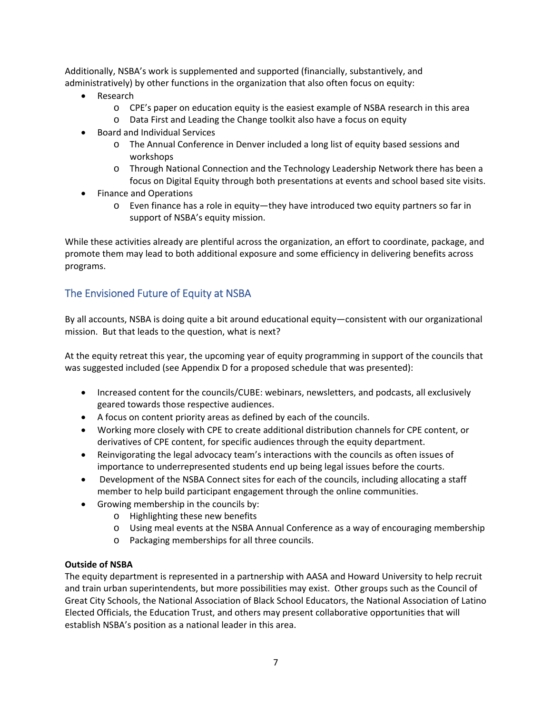Additionally, NSBA's work is supplemented and supported (financially, substantively, and administratively) by other functions in the organization that also often focus on equity:

- Research
	- o CPE's paper on education equity is the easiest example of NSBA research in this area
	- o Data First and Leading the Change toolkit also have a focus on equity
- Board and Individual Services
	- o The Annual Conference in Denver included a long list of equity based sessions and workshops
	- o Through National Connection and the Technology Leadership Network there has been a focus on Digital Equity through both presentations at events and school based site visits.
- Finance and Operations
	- o Even finance has a role in equity—they have introduced two equity partners so far in support of NSBA's equity mission.

While these activities already are plentiful across the organization, an effort to coordinate, package, and promote them may lead to both additional exposure and some efficiency in delivering benefits across programs.

# The Envisioned Future of Equity at NSBA

By all accounts, NSBA is doing quite a bit around educational equity—consistent with our organizational mission. But that leads to the question, what is next?

At the equity retreat this year, the upcoming year of equity programming in support of the councils that was suggested included (see Appendix D for a proposed schedule that was presented):

- Increased content for the councils/CUBE: webinars, newsletters, and podcasts, all exclusively geared towards those respective audiences.
- A focus on content priority areas as defined by each of the councils.
- Working more closely with CPE to create additional distribution channels for CPE content, or derivatives of CPE content, for specific audiences through the equity department.
- Reinvigorating the legal advocacy team's interactions with the councils as often issues of importance to underrepresented students end up being legal issues before the courts.
- Development of the NSBA Connect sites for each of the councils, including allocating a staff member to help build participant engagement through the online communities.
- Growing membership in the councils by:
	- o Highlighting these new benefits
	- o Using meal events at the NSBA Annual Conference as a way of encouraging membership
	- o Packaging memberships for all three councils.

### **Outside of NSBA**

The equity department is represented in a partnership with AASA and Howard University to help recruit and train urban superintendents, but more possibilities may exist. Other groups such as the Council of Great City Schools, the National Association of Black School Educators, the National Association of Latino Elected Officials, the Education Trust, and others may present collaborative opportunities that will establish NSBA's position as a national leader in this area.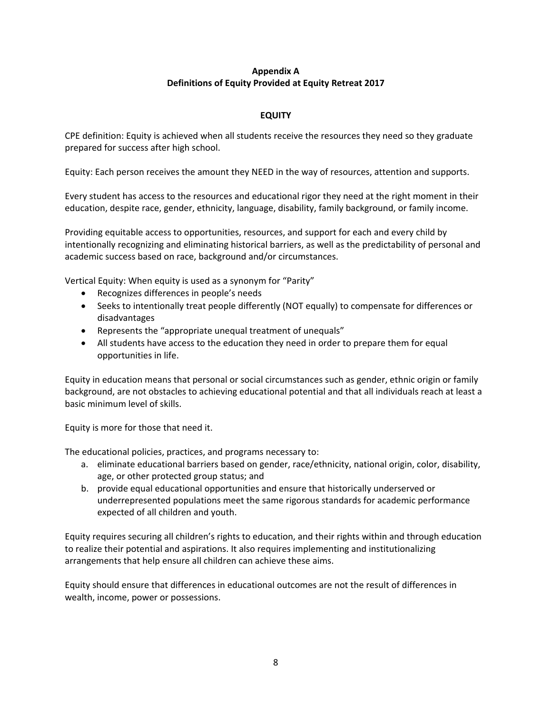## **Appendix A Definitions of Equity Provided at Equity Retreat 2017**

## **EQUITY**

CPE definition: Equity is achieved when all students receive the resources they need so they graduate prepared for success after high school.

Equity: Each person receives the amount they NEED in the way of resources, attention and supports.

Every student has access to the resources and educational rigor they need at the right moment in their education, despite race, gender, ethnicity, language, disability, family background, or family income.

Providing equitable access to opportunities, resources, and support for each and every child by intentionally recognizing and eliminating historical barriers, as well as the predictability of personal and academic success based on race, background and/or circumstances.

Vertical Equity: When equity is used as a synonym for "Parity"

- Recognizes differences in people's needs
- Seeks to intentionally treat people differently (NOT equally) to compensate for differences or disadvantages
- Represents the "appropriate unequal treatment of unequals"
- All students have access to the education they need in order to prepare them for equal opportunities in life.

Equity in education means that personal or social circumstances such as gender, ethnic origin or family background, are not obstacles to achieving educational potential and that all individuals reach at least a basic minimum level of skills.

Equity is more for those that need it.

The educational policies, practices, and programs necessary to:

- a. eliminate educational barriers based on gender, race/ethnicity, national origin, color, disability, age, or other protected group status; and
- b. provide equal educational opportunities and ensure that historically underserved or underrepresented populations meet the same rigorous standards for academic performance expected of all children and youth.

Equity requires securing all children's rights to education, and their rights within and through education to realize their potential and aspirations. It also requires implementing and institutionalizing arrangements that help ensure all children can achieve these aims.

Equity should ensure that differences in educational outcomes are not the result of differences in wealth, income, power or possessions.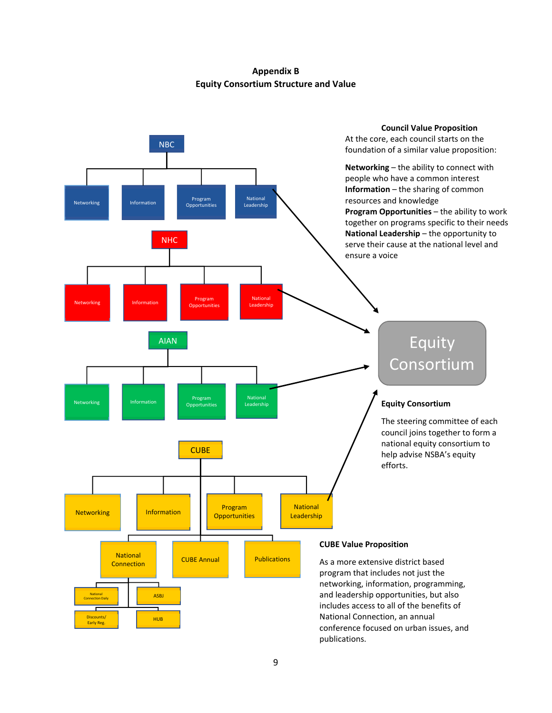**Appendix B Equity Consortium Structure and Value** 

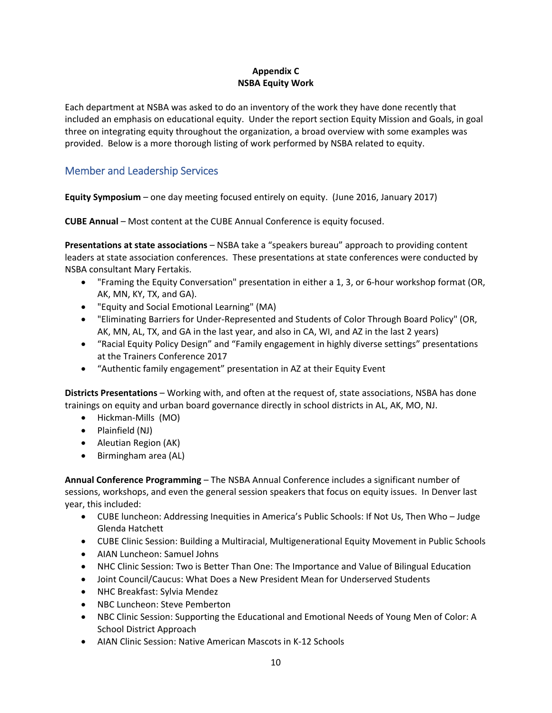## **Appendix C NSBA Equity Work**

Each department at NSBA was asked to do an inventory of the work they have done recently that included an emphasis on educational equity. Under the report section Equity Mission and Goals, in goal three on integrating equity throughout the organization, a broad overview with some examples was provided. Below is a more thorough listing of work performed by NSBA related to equity.

# Member and Leadership Services

**Equity Symposium** – one day meeting focused entirely on equity. (June 2016, January 2017)

**CUBE Annual** – Most content at the CUBE Annual Conference is equity focused.

**Presentations at state associations** – NSBA take a "speakers bureau" approach to providing content leaders at state association conferences. These presentations at state conferences were conducted by NSBA consultant Mary Fertakis.

- "Framing the Equity Conversation" presentation in either a 1, 3, or 6‐hour workshop format (OR, AK, MN, KY, TX, and GA).
- "Equity and Social Emotional Learning" (MA)
- "Eliminating Barriers for Under‐Represented and Students of Color Through Board Policy" (OR, AK, MN, AL, TX, and GA in the last year, and also in CA, WI, and AZ in the last 2 years)
- "Racial Equity Policy Design" and "Family engagement in highly diverse settings" presentations at the Trainers Conference 2017
- "Authentic family engagement" presentation in AZ at their Equity Event

**Districts Presentations** – Working with, and often at the request of, state associations, NSBA has done trainings on equity and urban board governance directly in school districts in AL, AK, MO, NJ.

- Hickman-Mills (MO)
- Plainfield (NJ)
- Aleutian Region (AK)
- Birmingham area (AL)

**Annual Conference Programming** – The NSBA Annual Conference includes a significant number of sessions, workshops, and even the general session speakers that focus on equity issues. In Denver last year, this included:

- CUBE luncheon: Addressing Inequities in America's Public Schools: If Not Us, Then Who Judge Glenda Hatchett
- CUBE Clinic Session: Building a Multiracial, Multigenerational Equity Movement in Public Schools
- AIAN Luncheon: Samuel Johns
- NHC Clinic Session: Two is Better Than One: The Importance and Value of Bilingual Education
- Joint Council/Caucus: What Does a New President Mean for Underserved Students
- NHC Breakfast: Sylvia Mendez
- NBC Luncheon: Steve Pemberton
- NBC Clinic Session: Supporting the Educational and Emotional Needs of Young Men of Color: A School District Approach
- AIAN Clinic Session: Native American Mascots in K‐12 Schools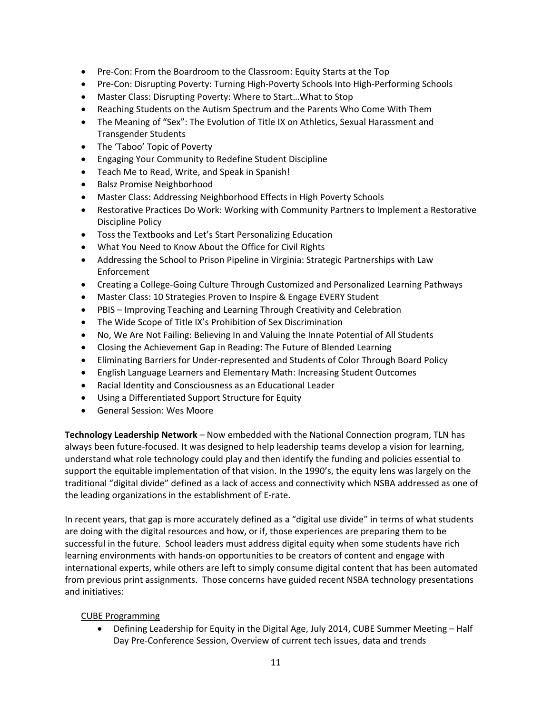- Pre-Con: From the Boardroom to the Classroom: Equity Starts at the Top
- Pre-Con: Disrupting Poverty: Turning High-Poverty Schools Into High-Performing Schools
- Master Class: Disrupting Poverty: Where to Start…What to Stop
- Reaching Students on the Autism Spectrum and the Parents Who Come With Them
- The Meaning of "Sex": The Evolution of Title IX on Athletics, Sexual Harassment and Transgender Students
- The 'Taboo' Topic of Poverty
- Engaging Your Community to Redefine Student Discipline
- Teach Me to Read, Write, and Speak in Spanish!
- Balsz Promise Neighborhood
- Master Class: Addressing Neighborhood Effects in High Poverty Schools
- Restorative Practices Do Work: Working with Community Partners to Implement a Restorative Discipline Policy
- Toss the Textbooks and Let's Start Personalizing Education
- What You Need to Know About the Office for Civil Rights
- Addressing the School to Prison Pipeline in Virginia: Strategic Partnerships with Law Enforcement
- Creating a College-Going Culture Through Customized and Personalized Learning Pathways
- Master Class: 10 Strategies Proven to Inspire & Engage EVERY Student
- PBIS Improving Teaching and Learning Through Creativity and Celebration
- The Wide Scope of Title IX's Prohibition of Sex Discrimination
- No, We Are Not Failing: Believing In and Valuing the Innate Potential of All Students
- Closing the Achievement Gap in Reading: The Future of Blended Learning
- Eliminating Barriers for Under-represented and Students of Color Through Board Policy
- English Language Learners and Elementary Math: Increasing Student Outcomes
- Racial Identity and Consciousness as an Educational Leader
- Using a Differentiated Support Structure for Equity
- General Session: Wes Moore

**Technology Leadership Network** – Now embedded with the National Connection program, TLN has always been future‐focused. It was designed to help leadership teams develop a vision for learning, understand what role technology could play and then identify the funding and policies essential to support the equitable implementation of that vision. In the 1990's, the equity lens was largely on the traditional "digital divide" defined as a lack of access and connectivity which NSBA addressed as one of the leading organizations in the establishment of E‐rate.

In recent years, that gap is more accurately defined as a "digital use divide" in terms of what students are doing with the digital resources and how, or if, those experiences are preparing them to be successful in the future. School leaders must address digital equity when some students have rich learning environments with hands‐on opportunities to be creators of content and engage with international experts, while others are left to simply consume digital content that has been automated from previous print assignments. Those concerns have guided recent NSBA technology presentations and initiatives:

### CUBE Programming

 Defining Leadership for Equity in the Digital Age, July 2014, CUBE Summer Meeting – Half Day Pre‐Conference Session, Overview of current tech issues, data and trends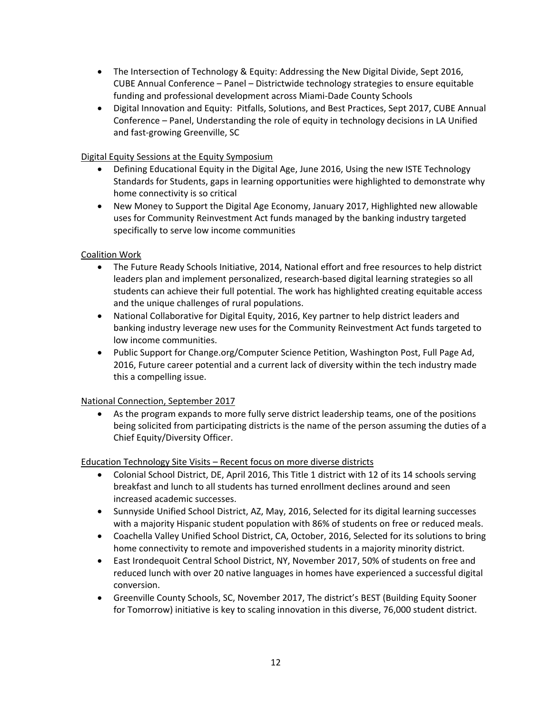- The Intersection of Technology & Equity: Addressing the New Digital Divide, Sept 2016, CUBE Annual Conference – Panel – Districtwide technology strategies to ensure equitable funding and professional development across Miami‐Dade County Schools
- Digital Innovation and Equity: Pitfalls, Solutions, and Best Practices, Sept 2017, CUBE Annual Conference – Panel, Understanding the role of equity in technology decisions in LA Unified and fast‐growing Greenville, SC

## Digital Equity Sessions at the Equity Symposium

- Defining Educational Equity in the Digital Age, June 2016, Using the new ISTE Technology Standards for Students, gaps in learning opportunities were highlighted to demonstrate why home connectivity is so critical
- New Money to Support the Digital Age Economy, January 2017, Highlighted new allowable uses for Community Reinvestment Act funds managed by the banking industry targeted specifically to serve low income communities

### Coalition Work

- The Future Ready Schools Initiative, 2014, National effort and free resources to help district leaders plan and implement personalized, research‐based digital learning strategies so all students can achieve their full potential. The work has highlighted creating equitable access and the unique challenges of rural populations.
- National Collaborative for Digital Equity, 2016, Key partner to help district leaders and banking industry leverage new uses for the Community Reinvestment Act funds targeted to low income communities.
- Public Support for Change.org/Computer Science Petition, Washington Post, Full Page Ad, 2016, Future career potential and a current lack of diversity within the tech industry made this a compelling issue.

### National Connection, September 2017

 As the program expands to more fully serve district leadership teams, one of the positions being solicited from participating districts is the name of the person assuming the duties of a Chief Equity/Diversity Officer.

Education Technology Site Visits – Recent focus on more diverse districts

- Colonial School District, DE, April 2016, This Title 1 district with 12 of its 14 schools serving breakfast and lunch to all students has turned enrollment declines around and seen increased academic successes.
- Sunnyside Unified School District, AZ, May, 2016, Selected for its digital learning successes with a majority Hispanic student population with 86% of students on free or reduced meals.
- Coachella Valley Unified School District, CA, October, 2016, Selected for its solutions to bring home connectivity to remote and impoverished students in a majority minority district.
- East Irondequoit Central School District, NY, November 2017, 50% of students on free and reduced lunch with over 20 native languages in homes have experienced a successful digital conversion.
- Greenville County Schools, SC, November 2017, The district's BEST (Building Equity Sooner for Tomorrow) initiative is key to scaling innovation in this diverse, 76,000 student district.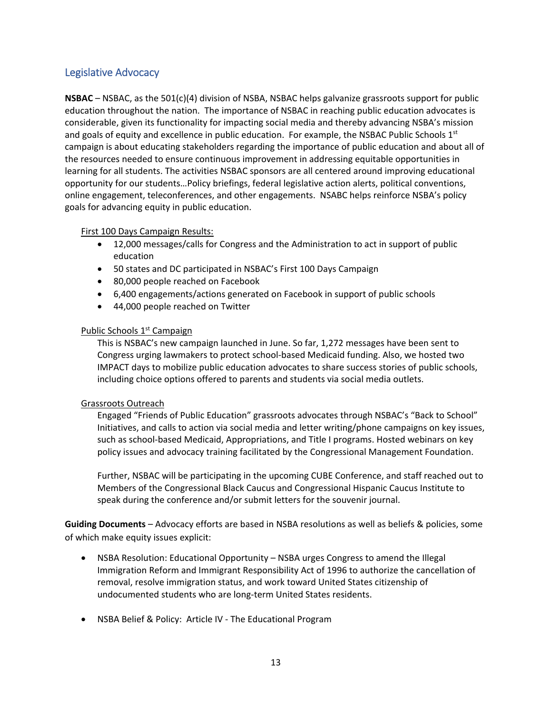# Legislative Advocacy

**NSBAC** – NSBAC, as the 501(c)(4) division of NSBA, NSBAC helps galvanize grassroots support for public education throughout the nation. The importance of NSBAC in reaching public education advocates is considerable, given its functionality for impacting social media and thereby advancing NSBA's mission and goals of equity and excellence in public education. For example, the NSBAC Public Schools  $1<sup>st</sup>$ campaign is about educating stakeholders regarding the importance of public education and about all of the resources needed to ensure continuous improvement in addressing equitable opportunities in learning for all students. The activities NSBAC sponsors are all centered around improving educational opportunity for our students…Policy briefings, federal legislative action alerts, political conventions, online engagement, teleconferences, and other engagements. NSABC helps reinforce NSBA's policy goals for advancing equity in public education.

### First 100 Days Campaign Results:

- 12,000 messages/calls for Congress and the Administration to act in support of public education
- 50 states and DC participated in NSBAC's First 100 Days Campaign
- 80,000 people reached on Facebook
- 6,400 engagements/actions generated on Facebook in support of public schools
- 44,000 people reached on Twitter

### Public Schools 1<sup>st</sup> Campaign

This is NSBAC's new campaign launched in June. So far, 1,272 messages have been sent to Congress urging lawmakers to protect school‐based Medicaid funding. Also, we hosted two IMPACT days to mobilize public education advocates to share success stories of public schools, including choice options offered to parents and students via social media outlets.

### Grassroots Outreach

Engaged "Friends of Public Education" grassroots advocates through NSBAC's "Back to School" Initiatives, and calls to action via social media and letter writing/phone campaigns on key issues, such as school-based Medicaid, Appropriations, and Title I programs. Hosted webinars on key policy issues and advocacy training facilitated by the Congressional Management Foundation.

Further, NSBAC will be participating in the upcoming CUBE Conference, and staff reached out to Members of the Congressional Black Caucus and Congressional Hispanic Caucus Institute to speak during the conference and/or submit letters for the souvenir journal.

**Guiding Documents** – Advocacy efforts are based in NSBA resolutions as well as beliefs & policies, some of which make equity issues explicit:

- NSBA Resolution: Educational Opportunity NSBA urges Congress to amend the Illegal Immigration Reform and Immigrant Responsibility Act of 1996 to authorize the cancellation of removal, resolve immigration status, and work toward United States citizenship of undocumented students who are long‐term United States residents.
- NSBA Belief & Policy: Article IV ‐ The Educational Program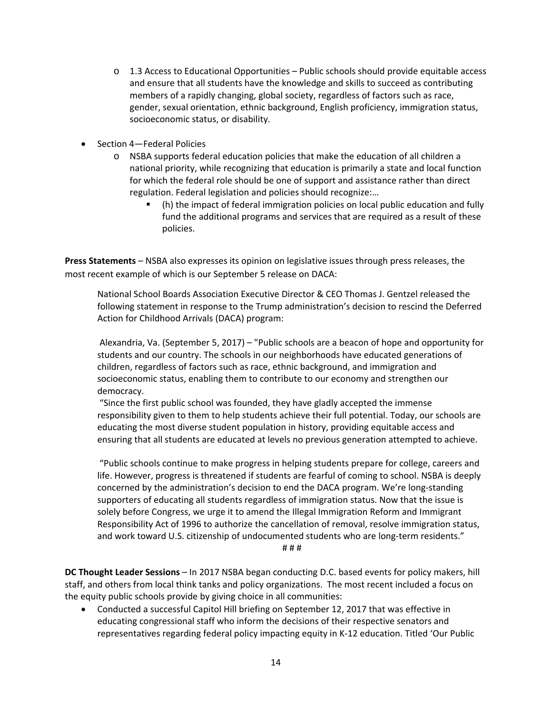- o 1.3 Access to Educational Opportunities Public schools should provide equitable access and ensure that all students have the knowledge and skills to succeed as contributing members of a rapidly changing, global society, regardless of factors such as race, gender, sexual orientation, ethnic background, English proficiency, immigration status, socioeconomic status, or disability.
- Section 4—Federal Policies
	- o NSBA supports federal education policies that make the education of all children a national priority, while recognizing that education is primarily a state and local function for which the federal role should be one of support and assistance rather than direct regulation. Federal legislation and policies should recognize:…
		- (h) the impact of federal immigration policies on local public education and fully fund the additional programs and services that are required as a result of these policies.

**Press Statements** – NSBA also expresses its opinion on legislative issues through press releases, the most recent example of which is our September 5 release on DACA:

National School Boards Association Executive Director & CEO Thomas J. Gentzel released the following statement in response to the Trump administration's decision to rescind the Deferred Action for Childhood Arrivals (DACA) program:

 Alexandria, Va. (September 5, 2017) – "Public schools are a beacon of hope and opportunity for students and our country. The schools in our neighborhoods have educated generations of children, regardless of factors such as race, ethnic background, and immigration and socioeconomic status, enabling them to contribute to our economy and strengthen our democracy.

 "Since the first public school was founded, they have gladly accepted the immense responsibility given to them to help students achieve their full potential. Today, our schools are educating the most diverse student population in history, providing equitable access and ensuring that all students are educated at levels no previous generation attempted to achieve.

 "Public schools continue to make progress in helping students prepare for college, careers and life. However, progress is threatened if students are fearful of coming to school. NSBA is deeply concerned by the administration's decision to end the DACA program. We're long-standing supporters of educating all students regardless of immigration status. Now that the issue is solely before Congress, we urge it to amend the Illegal Immigration Reform and Immigrant Responsibility Act of 1996 to authorize the cancellation of removal, resolve immigration status, and work toward U.S. citizenship of undocumented students who are long‐term residents."

# # #

**DC Thought Leader Sessions** – In 2017 NSBA began conducting D.C. based events for policy makers, hill staff, and others from local think tanks and policy organizations. The most recent included a focus on the equity public schools provide by giving choice in all communities:

 Conducted a successful Capitol Hill briefing on September 12, 2017 that was effective in educating congressional staff who inform the decisions of their respective senators and representatives regarding federal policy impacting equity in K‐12 education. Titled 'Our Public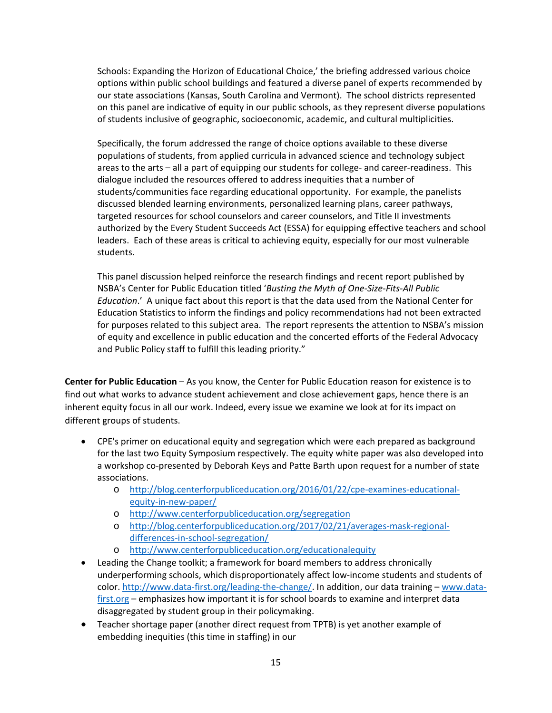Schools: Expanding the Horizon of Educational Choice,' the briefing addressed various choice options within public school buildings and featured a diverse panel of experts recommended by our state associations (Kansas, South Carolina and Vermont). The school districts represented on this panel are indicative of equity in our public schools, as they represent diverse populations of students inclusive of geographic, socioeconomic, academic, and cultural multiplicities.

Specifically, the forum addressed the range of choice options available to these diverse populations of students, from applied curricula in advanced science and technology subject areas to the arts – all a part of equipping our students for college- and career-readiness. This dialogue included the resources offered to address inequities that a number of students/communities face regarding educational opportunity. For example, the panelists discussed blended learning environments, personalized learning plans, career pathways, targeted resources for school counselors and career counselors, and Title II investments authorized by the Every Student Succeeds Act (ESSA) for equipping effective teachers and school leaders. Each of these areas is critical to achieving equity, especially for our most vulnerable students.

This panel discussion helped reinforce the research findings and recent report published by NSBA's Center for Public Education titled '*Busting the Myth of One‐Size‐Fits‐All Public Education*.' A unique fact about this report is that the data used from the National Center for Education Statistics to inform the findings and policy recommendations had not been extracted for purposes related to this subject area. The report represents the attention to NSBA's mission of equity and excellence in public education and the concerted efforts of the Federal Advocacy and Public Policy staff to fulfill this leading priority."

**Center for Public Education** – As you know, the Center for Public Education reason for existence is to find out what works to advance student achievement and close achievement gaps, hence there is an inherent equity focus in all our work. Indeed, every issue we examine we look at for its impact on different groups of students.

- CPE's primer on educational equity and segregation which were each prepared as background for the last two Equity Symposium respectively. The equity white paper was also developed into a workshop co‐presented by Deborah Keys and Patte Barth upon request for a number of state associations.
	- o http://blog.centerforpubliceducation.org/2016/01/22/cpe-examines-educationalequity‐in‐new‐paper/
	- o http://www.centerforpubliceducation.org/segregation
	- o http://blog.centerforpubliceducation.org/2017/02/21/averages‐mask‐regional‐ differences-in-school-segregation/
	- o http://www.centerforpubliceducation.org/educationalequity
- Leading the Change toolkit; a framework for board members to address chronically underperforming schools, which disproportionately affect low-income students and students of color. http://www.data-first.org/leading-the-change/. In addition, our data training – www.datafirst.org – emphasizes how important it is for school boards to examine and interpret data disaggregated by student group in their policymaking.
- Teacher shortage paper (another direct request from TPTB) is yet another example of embedding inequities (this time in staffing) in our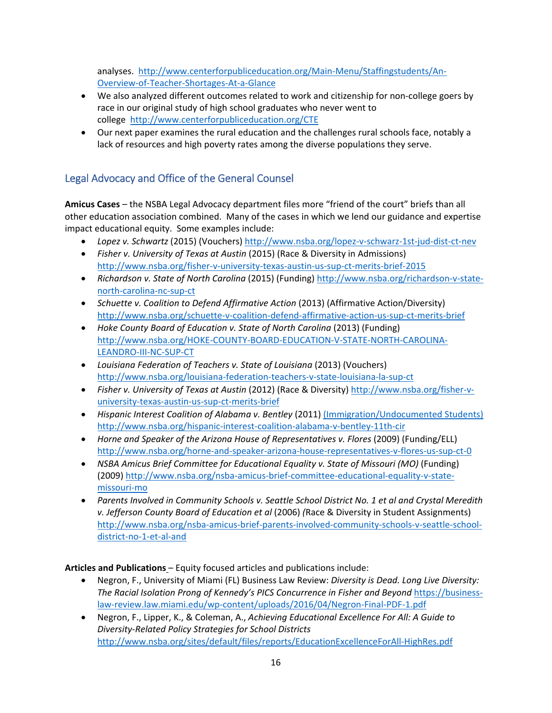analyses. http://www.centerforpubliceducation.org/Main‐Menu/Staffingstudents/An‐ Overview‐of‐Teacher‐Shortages‐At‐a‐Glance

- We also analyzed different outcomes related to work and citizenship for non-college goers by race in our original study of high school graduates who never went to college http://www.centerforpubliceducation.org/CTE
- Our next paper examines the rural education and the challenges rural schools face, notably a lack of resources and high poverty rates among the diverse populations they serve.

# Legal Advocacy and Office of the General Counsel

**Amicus Cases** – the NSBA Legal Advocacy department files more "friend of the court" briefs than all other education association combined. Many of the cases in which we lend our guidance and expertise impact educational equity. Some examples include:

- Lopez v. Schwartz (2015) (Vouchers) http://www.nsba.org/lopez-v-schwarz-1st-jud-dist-ct-nev
- *Fisher v. University of Texas at Austin* (2015) (Race & Diversity in Admissions) http://www.nsba.org/fisher‐v‐university‐texas‐austin‐us‐sup‐ct‐merits‐brief‐2015
- *Richardson v. State of North Carolina* (2015) (Funding) http://www.nsba.org/richardson‐v‐state‐ north‐carolina‐nc‐sup‐ct
- *Schuette v. Coalition to Defend Affirmative Action* (2013) (Affirmative Action/Diversity) http://www.nsba.org/schuette‐v‐coalition‐defend‐affirmative‐action‐us‐sup‐ct‐merits‐brief
- *Hoke County Board of Education v. State of North Carolina* (2013) (Funding) http://www.nsba.org/HOKE‐COUNTY‐BOARD‐EDUCATION‐V‐STATE‐NORTH‐CAROLINA‐ LEANDRO‐III‐NC‐SUP‐CT
- *Louisiana Federation of Teachers v. State of Louisiana* (2013) (Vouchers) http://www.nsba.org/louisiana‐federation‐teachers‐v‐state‐louisiana‐la‐sup‐ct
- *Fisher v. University of Texas at Austin* (2012) (Race & Diversity) http://www.nsba.org/fisher‐v‐ university‐texas‐austin‐us‐sup‐ct‐merits‐brief
- *Hispanic Interest Coalition of Alabama v. Bentley* (2011) (Immigration/Undocumented Students) http://www.nsba.org/hispanic-interest-coalition-alabama-v-bentley-11th-cir
- *Horne and Speaker of the Arizona House of Representatives v. Flores* (2009) (Funding/ELL) http://www.nsba.org/horne‐and‐speaker‐arizona‐house‐representatives‐v‐flores‐us‐sup‐ct‐0
- *NSBA Amicus Brief Committee for Educational Equality v. State of Missouri (MO)* (Funding) (2009) http://www.nsba.org/nsba‐amicus‐brief‐committee‐educational‐equality‐v‐state‐ missouri‐mo
- *Parents Involved in Community Schools v. Seattle School District No. 1 et al and Crystal Meredith v. Jefferson County Board of Education et al* (2006) *(*Race & Diversity in Student Assignments) http://www.nsba.org/nsba-amicus-brief-parents-involved-community-schools-v-seattle-schooldistrict‐no‐1‐et‐al‐and

## **Articles and Publications** – Equity focused articles and publications include:

- Negron, F., University of Miami (FL) Business Law Review: *Diversity is Dead. Long Live Diversity:*  The Racial Isolation Prong of Kennedy's PICS Concurrence in Fisher and Beyond https://businesslaw‐review.law.miami.edu/wp‐content/uploads/2016/04/Negron‐Final‐PDF‐1.pdf
- Negron, F., Lipper, K., & Coleman, A., *Achieving Educational Excellence For All: A Guide to Diversity‐Related Policy Strategies for School Districts*  http://www.nsba.org/sites/default/files/reports/EducationExcellenceForAll‐HighRes.pdf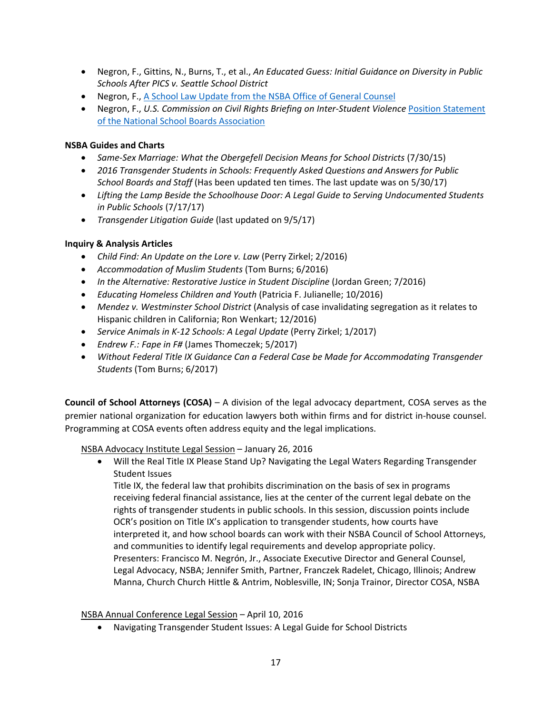- Negron, F., Gittins, N., Burns, T., et al., *An Educated Guess: Initial Guidance on Diversity in Public Schools After PICS v. Seattle School District*
- Negron, F., A School Law Update from the NSBA Office of General Counsel
- Negron, F., U.S. Commission on Civil Rights Briefing on Inter-Student Violence Position Statement of the National School Boards Association

## **NSBA Guides and Charts**

- *Same‐Sex Marriage: What the Obergefell Decision Means for School Districts* (7/30/15)
- *2016 Transgender Students in Schools: Frequently Asked Questions and Answers for Public School Boards and Staff* (Has been updated ten times. The last update was on 5/30/17)
- *Lifting the Lamp Beside the Schoolhouse Door: A Legal Guide to Serving Undocumented Students in Public Schools* (7/17/17)
- *Transgender Litigation Guide* (last updated on 9/5/17)

### **Inquiry & Analysis Articles**

- *Child Find: An Update on the Lore v. Law* (Perry Zirkel; 2/2016)
- *Accommodation of Muslim Students* (Tom Burns; 6/2016)
- **•** In the Alternative: Restorative Justice in Student Discipline (Jordan Green; 7/2016)
- *Educating Homeless Children and Youth* (Patricia F. Julianelle; 10/2016)
- *Mendez v. Westminster School District* (Analysis of case invalidating segregation as it relates to Hispanic children in California; Ron Wenkart; 12/2016)
- *Service Animals in K‐12 Schools: A Legal Update* (Perry Zirkel; 1/2017)
- *Endrew F.: Fape in F#* (James Thomeczek; 5/2017)
- *Without Federal Title IX Guidance Can a Federal Case be Made for Accommodating Transgender Students* (Tom Burns; 6/2017)

**Council of School Attorneys (COSA)** – A division of the legal advocacy department, COSA serves as the premier national organization for education lawyers both within firms and for district in‐house counsel. Programming at COSA events often address equity and the legal implications.

NSBA Advocacy Institute Legal Session – January 26, 2016

 Will the Real Title IX Please Stand Up? Navigating the Legal Waters Regarding Transgender Student Issues

Title IX, the federal law that prohibits discrimination on the basis of sex in programs receiving federal financial assistance, lies at the center of the current legal debate on the rights of transgender students in public schools. In this session, discussion points include OCR's position on Title IX's application to transgender students, how courts have interpreted it, and how school boards can work with their NSBA Council of School Attorneys, and communities to identify legal requirements and develop appropriate policy. Presenters: Francisco M. Negrón, Jr., Associate Executive Director and General Counsel, Legal Advocacy, NSBA; Jennifer Smith, Partner, Franczek Radelet, Chicago, Illinois; Andrew Manna, Church Church Hittle & Antrim, Noblesville, IN; Sonja Trainor, Director COSA, NSBA

NSBA Annual Conference Legal Session – April 10, 2016

Navigating Transgender Student Issues: A Legal Guide for School Districts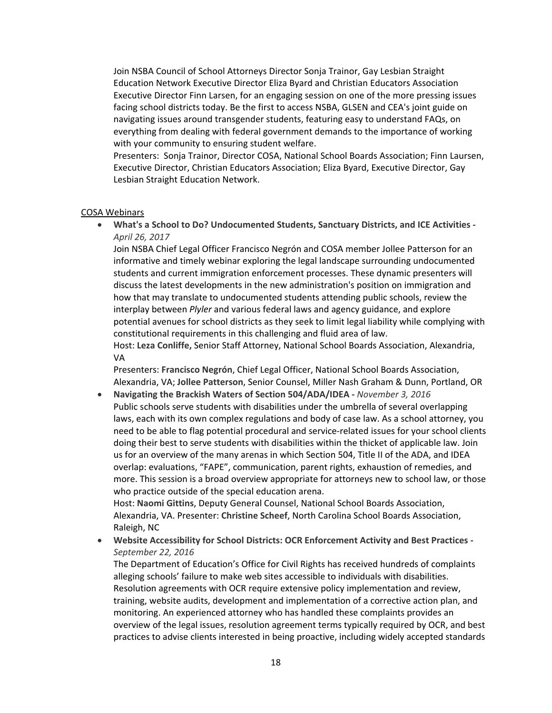Join NSBA Council of School Attorneys Director Sonja Trainor, Gay Lesbian Straight Education Network Executive Director Eliza Byard and Christian Educators Association Executive Director Finn Larsen, for an engaging session on one of the more pressing issues facing school districts today. Be the first to access NSBA, GLSEN and CEA's joint guide on navigating issues around transgender students, featuring easy to understand FAQs, on everything from dealing with federal government demands to the importance of working with your community to ensuring student welfare.

Presenters: Sonja Trainor, Director COSA, National School Boards Association; Finn Laursen, Executive Director, Christian Educators Association; Eliza Byard, Executive Director, Gay Lesbian Straight Education Network.

#### COSA Webinars

 **What's a School to Do? Undocumented Students, Sanctuary Districts, and ICE Activities ‐**  *April 26, 2017* 

Join NSBA Chief Legal Officer Francisco Negrón and COSA member Jollee Patterson for an informative and timely webinar exploring the legal landscape surrounding undocumented students and current immigration enforcement processes. These dynamic presenters will discuss the latest developments in the new administration's position on immigration and how that may translate to undocumented students attending public schools, review the interplay between *Plyler* and various federal laws and agency guidance, and explore potential avenues for school districts as they seek to limit legal liability while complying with constitutional requirements in this challenging and fluid area of law.

Host: **Leza Conliffe,** Senior Staff Attorney, National School Boards Association, Alexandria, VA

Presenters: **Francisco Negrón**, Chief Legal Officer, National School Boards Association, Alexandria, VA; **Jollee Patterson**, Senior Counsel, Miller Nash Graham & Dunn, Portland, OR

 **Navigating the Brackish Waters of Section 504/ADA/IDEA ‐** *November 3, 2016*  Public schools serve students with disabilities under the umbrella of several overlapping laws, each with its own complex regulations and body of case law. As a school attorney, you need to be able to flag potential procedural and service-related issues for your school clients doing their best to serve students with disabilities within the thicket of applicable law. Join us for an overview of the many arenas in which Section 504, Title II of the ADA, and IDEA overlap: evaluations, "FAPE", communication, parent rights, exhaustion of remedies, and more. This session is a broad overview appropriate for attorneys new to school law, or those who practice outside of the special education arena.

Host: **Naomi Gittins**, Deputy General Counsel, National School Boards Association, Alexandria, VA. Presenter: **Christine Scheef**, North Carolina School Boards Association, Raleigh, NC

 **Website Accessibility for School Districts: OCR Enforcement Activity and Best Practices ‐**  *September 22, 2016* 

The Department of Education's Office for Civil Rights has received hundreds of complaints alleging schools' failure to make web sites accessible to individuals with disabilities. Resolution agreements with OCR require extensive policy implementation and review, training, website audits, development and implementation of a corrective action plan, and monitoring. An experienced attorney who has handled these complaints provides an overview of the legal issues, resolution agreement terms typically required by OCR, and best practices to advise clients interested in being proactive, including widely accepted standards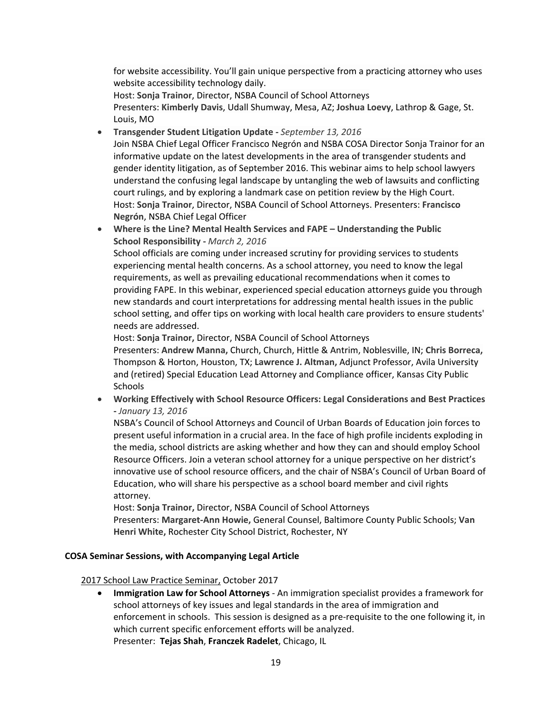for website accessibility. You'll gain unique perspective from a practicing attorney who uses website accessibility technology daily.

Host: **Sonja Trainor**, Director, NSBA Council of School Attorneys

Presenters: **Kimberly Davis**, Udall Shumway, Mesa, AZ; **Joshua Loevy**, Lathrop & Gage, St. Louis, MO

**Transgender Student Litigation Update ‐** *September 13, 2016* 

Join NSBA Chief Legal Officer Francisco Negrón and NSBA COSA Director Sonja Trainor for an informative update on the latest developments in the area of transgender students and gender identity litigation, as of September 2016. This webinar aims to help school lawyers understand the confusing legal landscape by untangling the web of lawsuits and conflicting court rulings, and by exploring a landmark case on petition review by the High Court. Host: **Sonja Trainor**, Director, NSBA Council of School Attorneys. Presenters: **Francisco Negrón**, NSBA Chief Legal Officer

 **Where is the Line? Mental Health Services and FAPE – Understanding the Public School Responsibility ‐** *March 2, 2016* 

School officials are coming under increased scrutiny for providing services to students experiencing mental health concerns. As a school attorney, you need to know the legal requirements, as well as prevailing educational recommendations when it comes to providing FAPE. In this webinar, experienced special education attorneys guide you through new standards and court interpretations for addressing mental health issues in the public school setting, and offer tips on working with local health care providers to ensure students' needs are addressed.

Host: **Sonja Trainor,** Director, NSBA Council of School Attorneys

Presenters: **Andrew Manna,** Church, Church, Hittle & Antrim, Noblesville, IN; **Chris Borreca,**  Thompson & Horton, Houston, TX; **Lawrence J. Altman,** Adjunct Professor, Avila University and (retired) Special Education Lead Attorney and Compliance officer, Kansas City Public Schools

 **Working Effectively with School Resource Officers: Legal Considerations and Best Practices ‐** *January 13, 2016* 

NSBA's Council of School Attorneys and Council of Urban Boards of Education join forces to present useful information in a crucial area. In the face of high profile incidents exploding in the media, school districts are asking whether and how they can and should employ School Resource Officers. Join a veteran school attorney for a unique perspective on her district's innovative use of school resource officers, and the chair of NSBA's Council of Urban Board of Education, who will share his perspective as a school board member and civil rights attorney.

Host: **Sonja Trainor,** Director, NSBA Council of School Attorneys

Presenters: **Margaret‐Ann Howie,** General Counsel, Baltimore County Public Schools; **Van Henri White,** Rochester City School District, Rochester, NY

### **COSA Seminar Sessions, with Accompanying Legal Article**

2017 School Law Practice Seminar, October 2017

**• Immigration Law for School Attorneys** - An immigration specialist provides a framework for school attorneys of key issues and legal standards in the area of immigration and enforcement in schools. This session is designed as a pre‐requisite to the one following it, in which current specific enforcement efforts will be analyzed. Presenter: **Tejas Shah**, **Franczek Radelet**, Chicago, IL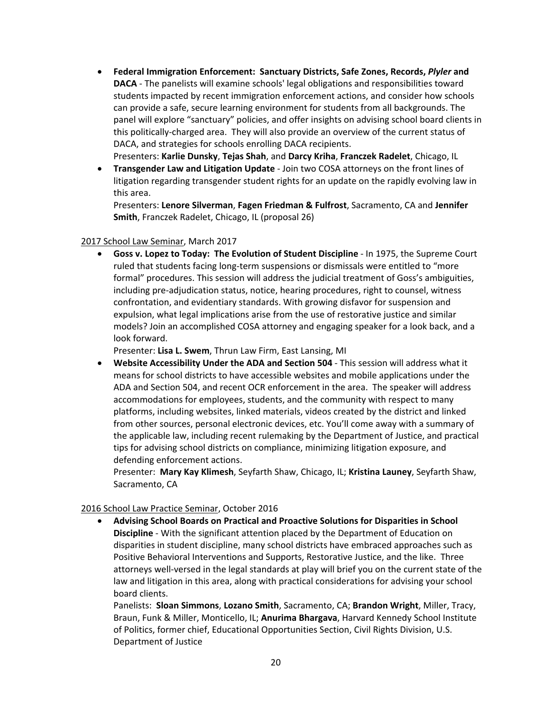**Federal Immigration Enforcement: Sanctuary Districts, Safe Zones, Records,** *Plyler* **and DACA** - The panelists will examine schools' legal obligations and responsibilities toward students impacted by recent immigration enforcement actions, and consider how schools can provide a safe, secure learning environment for students from all backgrounds. The panel will explore "sanctuary" policies, and offer insights on advising school board clients in this politically‐charged area. They will also provide an overview of the current status of DACA, and strategies for schools enrolling DACA recipients.

Presenters: **Karlie Dunsky**, **Tejas Shah**, and **Darcy Kriha**, **Franczek Radelet**, Chicago, IL

 **Transgender Law and Litigation Update** ‐ Join two COSA attorneys on the front lines of litigation regarding transgender student rights for an update on the rapidly evolving law in this area.

Presenters: **Lenore Silverman**, **Fagen Friedman & Fulfrost**, Sacramento, CA and **Jennifer Smith**, Franczek Radelet, Chicago, IL (proposal 26)

#### 2017 School Law Seminar, March 2017

 **Goss v. Lopez to Today: The Evolution of Student Discipline** ‐ In 1975, the Supreme Court ruled that students facing long‐term suspensions or dismissals were entitled to "more formal" procedures. This session will address the judicial treatment of Goss's ambiguities, including pre‐adjudication status, notice, hearing procedures, right to counsel, witness confrontation, and evidentiary standards. With growing disfavor for suspension and expulsion, what legal implications arise from the use of restorative justice and similar models? Join an accomplished COSA attorney and engaging speaker for a look back, and a look forward.

Presenter: **Lisa L. Swem**, Thrun Law Firm, East Lansing, MI

 **Website Accessibility Under the ADA and Section 504** ‐ This session will address what it means for school districts to have accessible websites and mobile applications under the ADA and Section 504, and recent OCR enforcement in the area. The speaker will address accommodations for employees, students, and the community with respect to many platforms, including websites, linked materials, videos created by the district and linked from other sources, personal electronic devices, etc. You'll come away with a summary of the applicable law, including recent rulemaking by the Department of Justice, and practical tips for advising school districts on compliance, minimizing litigation exposure, and defending enforcement actions.

Presenter: **Mary Kay Klimesh**, Seyfarth Shaw, Chicago, IL; **Kristina Launey**, Seyfarth Shaw, Sacramento, CA

### 2016 School Law Practice Seminar, October 2016

 **Advising School Boards on Practical and Proactive Solutions for Disparities in School Discipline** - With the significant attention placed by the Department of Education on disparities in student discipline, many school districts have embraced approaches such as Positive Behavioral Interventions and Supports, Restorative Justice, and the like. Three attorneys well‐versed in the legal standards at play will brief you on the current state of the law and litigation in this area, along with practical considerations for advising your school board clients.

Panelists: **Sloan Simmons**, **Lozano Smith**, Sacramento, CA; **Brandon Wright**, Miller, Tracy, Braun, Funk & Miller, Monticello, IL; **Anurima Bhargava**, Harvard Kennedy School Institute of Politics, former chief, Educational Opportunities Section, Civil Rights Division, U.S. Department of Justice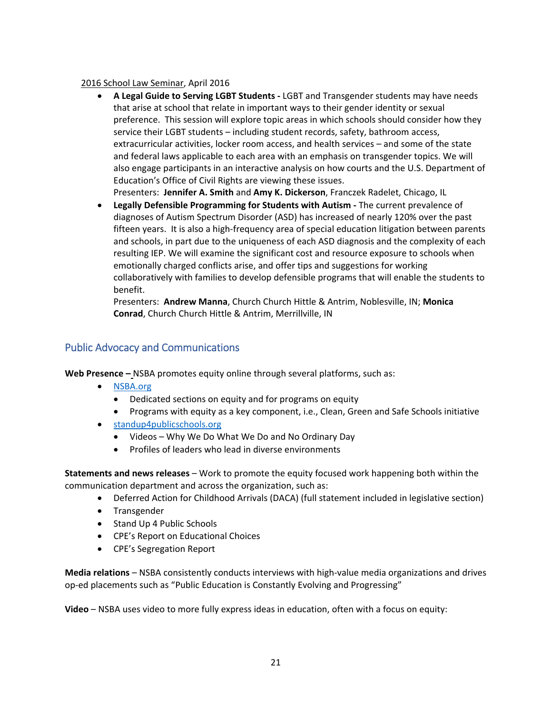### 2016 School Law Seminar, April 2016

 **A Legal Guide to Serving LGBT Students ‐** LGBT and Transgender students may have needs that arise at school that relate in important ways to their gender identity or sexual preference. This session will explore topic areas in which schools should consider how they service their LGBT students – including student records, safety, bathroom access, extracurricular activities, locker room access, and health services – and some of the state and federal laws applicable to each area with an emphasis on transgender topics. We will also engage participants in an interactive analysis on how courts and the U.S. Department of Education's Office of Civil Rights are viewing these issues.

Presenters: **Jennifer A. Smith** and **Amy K. Dickerson**, Franczek Radelet, Chicago, IL

 **Legally Defensible Programming for Students with Autism ‐** The current prevalence of diagnoses of Autism Spectrum Disorder (ASD) has increased of nearly 120% over the past fifteen years. It is also a high‐frequency area of special education litigation between parents and schools, in part due to the uniqueness of each ASD diagnosis and the complexity of each resulting IEP. We will examine the significant cost and resource exposure to schools when emotionally charged conflicts arise, and offer tips and suggestions for working collaboratively with families to develop defensible programs that will enable the students to benefit.

Presenters: **Andrew Manna**, Church Church Hittle & Antrim, Noblesville, IN; **Monica Conrad**, Church Church Hittle & Antrim, Merrillville, IN

# Public Advocacy and Communications

**Web Presence –** NSBA promotes equity online through several platforms, such as:

- NSBA.org
	- Dedicated sections on equity and for programs on equity
	- Programs with equity as a key component, i.e., Clean, Green and Safe Schools initiative
- standup4publicschools.org
	- Videos Why We Do What We Do and No Ordinary Day
	- Profiles of leaders who lead in diverse environments

**Statements and news releases** – Work to promote the equity focused work happening both within the communication department and across the organization, such as:

- Deferred Action for Childhood Arrivals (DACA) (full statement included in legislative section)
- Transgender
- Stand Up 4 Public Schools
- CPE's Report on Educational Choices
- CPE's Segregation Report

**Media relations** – NSBA consistently conducts interviews with high‐value media organizations and drives op‐ed placements such as "Public Education is Constantly Evolving and Progressing"

**Video** – NSBA uses video to more fully express ideas in education, often with a focus on equity: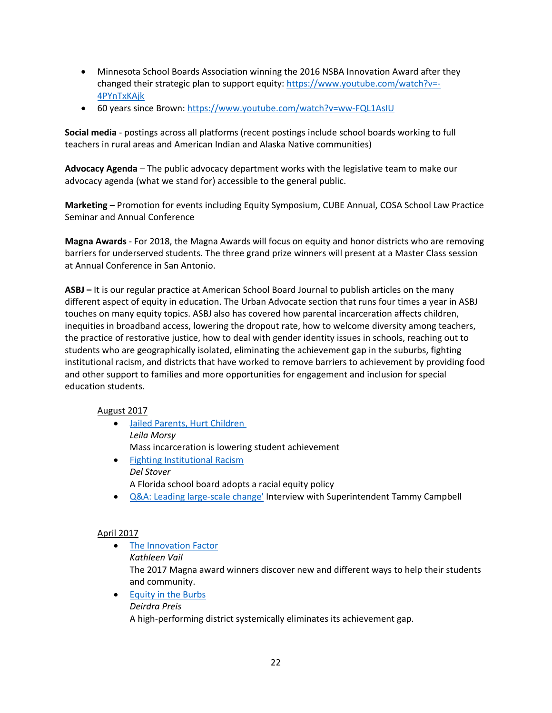- Minnesota School Boards Association winning the 2016 NSBA Innovation Award after they changed their strategic plan to support equity: https://www.youtube.com/watch?v=‐ 4PYnTxKAjk
- 60 years since Brown: https://www.youtube.com/watch?v=ww‐FQL1AsIU

**Social media** ‐ postings across all platforms (recent postings include school boards working to full teachers in rural areas and American Indian and Alaska Native communities)

**Advocacy Agenda** – The public advocacy department works with the legislative team to make our advocacy agenda (what we stand for) accessible to the general public.

**Marketing** – Promotion for events including Equity Symposium, CUBE Annual, COSA School Law Practice Seminar and Annual Conference

**Magna Awards** ‐ For 2018, the Magna Awards will focus on equity and honor districts who are removing barriers for underserved students. The three grand prize winners will present at a Master Class session at Annual Conference in San Antonio.

**ASBJ –** It is our regular practice at American School Board Journal to publish articles on the many different aspect of equity in education. The Urban Advocate section that runs four times a year in ASBJ touches on many equity topics. ASBJ also has covered how parental incarceration affects children, inequities in broadband access, lowering the dropout rate, how to welcome diversity among teachers, the practice of restorative justice, how to deal with gender identity issues in schools, reaching out to students who are geographically isolated, eliminating the achievement gap in the suburbs, fighting institutional racism, and districts that have worked to remove barriers to achievement by providing food and other support to families and more opportunities for engagement and inclusion for special education students.

### August 2017

- Jailed Parents, Hurt Children *Leila Morsy* Mass incarceration is lowering student achievement
- **•** Fighting Institutional Racism *Del Stover* A Florida school board adopts a racial equity policy
- Q&A: Leading large-scale change' Interview with Superintendent Tammy Campbell

## April 2017

- The Innovation Factor *Kathleen Vail* The 2017 Magna award winners discover new and different ways to help their students and community.
- Equity in the Burbs *Deirdra Preis* A high‐performing district systemically eliminates its achievement gap.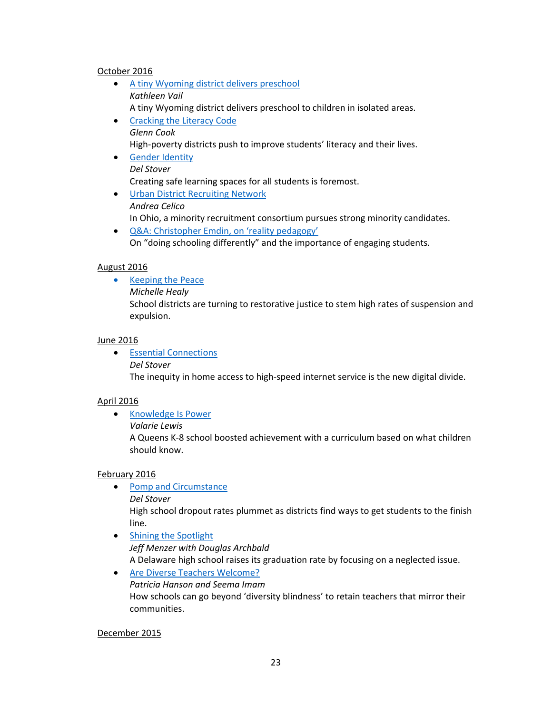#### October 2016

- A tiny Wyoming district delivers preschool *Kathleen Vail* A tiny Wyoming district delivers preschool to children in isolated areas.
- Cracking the Literacy Code *Glenn Cook* High-poverty districts push to improve students' literacy and their lives. **•** Gender Identity
- *Del Stover* Creating safe learning spaces for all students is foremost.
- Urban District Recruiting Network *Andrea Celico* In Ohio, a minority recruitment consortium pursues strong minority candidates.
- Q&A: Christopher Emdin, on 'reality pedagogy' On "doing schooling differently" and the importance of engaging students.

### August 2016

- Keeping the Peace
	- *Michelle Healy*

School districts are turning to restorative justice to stem high rates of suspension and expulsion.

#### June 2016

 Essential Connections *Del Stover* The inequity in home access to high‐speed internet service is the new digital divide.

#### April 2016

- Knowledge Is Power
	- *Valarie Lewis*

A Queens K‐8 school boosted achievement with a curriculum based on what children should know.

#### February 2016

- Pomp and Circumstance *Del Stover* High school dropout rates plummet as districts find ways to get students to the finish line.
- Shining the Spotlight *Jeff Menzer with Douglas Archbald* A Delaware high school raises its graduation rate by focusing on a neglected issue.
- Are Diverse Teachers Welcome? *Patricia Hanson and Seema Imam* How schools can go beyond 'diversity blindness' to retain teachers that mirror their communities.

#### December 2015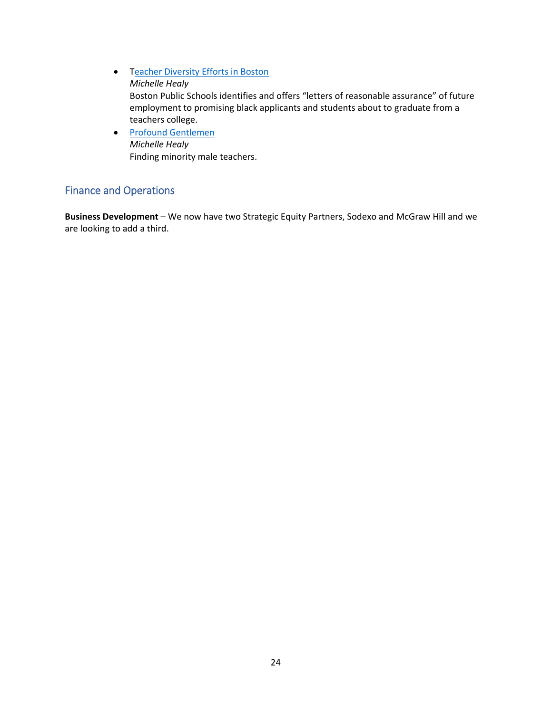- **•** Teacher Diversity Efforts in Boston *Michelle Healy* Boston Public Schools identifies and offers "letters of reasonable assurance" of future employment to promising black applicants and students about to graduate from a teachers college.
- Profound Gentlemen *Michelle Healy* Finding minority male teachers.

# Finance and Operations

**Business Development** – We now have two Strategic Equity Partners, Sodexo and McGraw Hill and we are looking to add a third.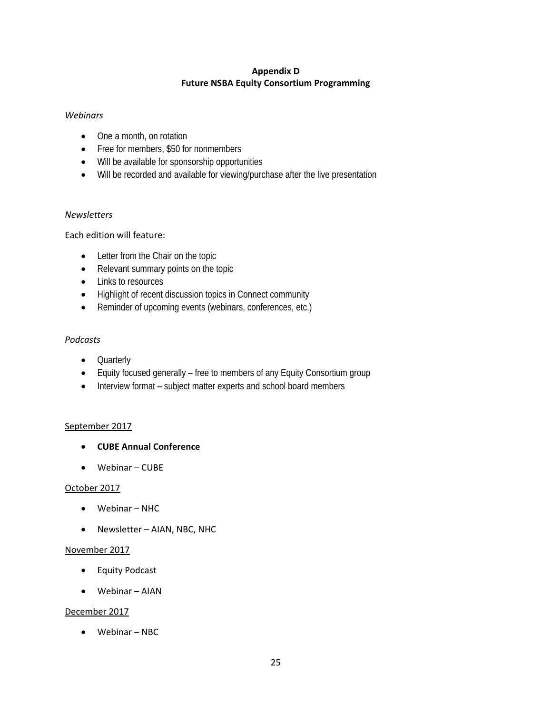## **Appendix D Future NSBA Equity Consortium Programming**

### *Webinars*

- One a month, on rotation
- Free for members, \$50 for nonmembers
- Will be available for sponsorship opportunities
- Will be recorded and available for viewing/purchase after the live presentation

### *Newsletters*

### Each edition will feature:

- Letter from the Chair on the topic
- Relevant summary points on the topic
- Links to resources
- Highlight of recent discussion topics in Connect community
- Reminder of upcoming events (webinars, conferences, etc.)

### *Podcasts*

- Quarterly
- Equity focused generally free to members of any Equity Consortium group
- Interview format subject matter experts and school board members

### September 2017

- **CUBE Annual Conference**
- Webinar CUBE

### October 2017

- Webinar NHC
- Newsletter AIAN, NBC, NHC

### November 2017

- Equity Podcast
- Webinar AIAN

### December 2017

Webinar – NBC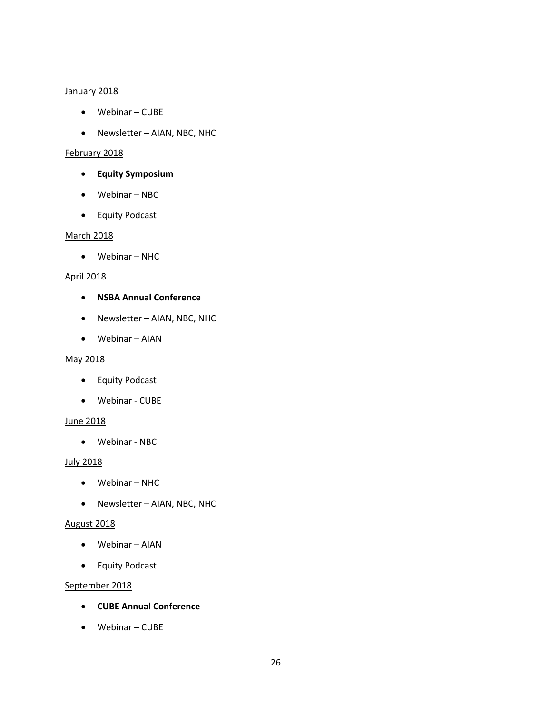#### January 2018

- Webinar CUBE
- Newsletter AIAN, NBC, NHC

### February 2018

- **Equity Symposium**
- Webinar NBC
- **•** Equity Podcast

#### March 2018

Webinar – NHC

### April 2018

- **NSBA Annual Conference**
- Newsletter AIAN, NBC, NHC
- Webinar AIAN

#### May 2018

- Equity Podcast
- Webinar ‐ CUBE

### June 2018

Webinar ‐ NBC

### July 2018

- Webinar NHC
- Newsletter AIAN, NBC, NHC

### August 2018

- Webinar AIAN
- **•** Equity Podcast

## September 2018

- **CUBE Annual Conference**
- Webinar CUBE